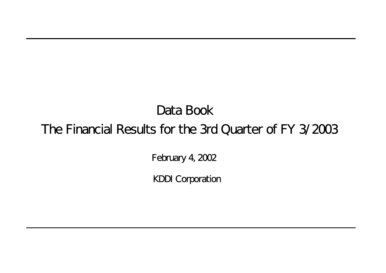# Data Book The Financial Results for the 3rd Quarter of FY 3/2003

February 4, 2002

KDDI Corporation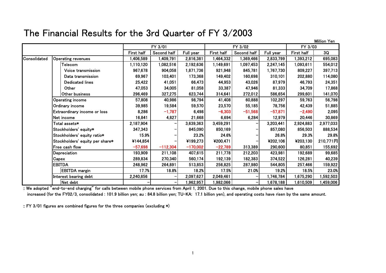## The Financial Results for the 3rd Quarter of FY 3/2003

|              |                                 |            |             |            |            |             |           |            | Million Yen |
|--------------|---------------------------------|------------|-------------|------------|------------|-------------|-----------|------------|-------------|
|              |                                 |            | FY 3/01     |            |            | FY 3/02     |           | FY 3/03    |             |
|              |                                 | First half | Second half | Full year  | First half | Second half | Full year | First half | 3Q          |
| Consolidated | <b>Operating revenues</b>       | 1,406,589  | 1,409,791   | 2,816,381  | 1,464,332  | 1,369,466   | 2,833,799 | 1,393,212  | 695,083     |
|              | Telecom                         | 1,110,120  | 1,082,516   | 2,192,636  | 1,149,691  | 1,097,453   | 2,247,145 | 1,093,611  | 554,012     |
|              | Voice transmission              | 967,678    | 904,058     | 1,871,736  | 921,948    | 845,781     | 1,767,730 | 809,227    | 397,713     |
|              | Data transmission               | 69,967     | 103,401     | 173,368    | 149,402    | 160,698     | 310,101   | 202,880    | 114,080     |
|              | <b>Dedicated lines</b>          | 25,422     | 41,051      | 66,473     | 44,953     | 43,026      | 87,979    | 46,793     | 24,351      |
|              | Other                           | 47,053     | 34,005      | 81,058     | 33,387     | 47,946      | 81,333    | 34,709     | 17,868      |
|              | Other business                  | 296,469    | 327,275     | 623,744    | 314,641    | 272,012     | 586,654   | 299,601    | 141,070     |
|              | <b>Operating income</b>         | 57,808     | 40,986      | 98,794     | 41,408     | 60,888      | 102,297   | 59,763     | 56,798      |
|              | Ordinary income                 | 39,985     | 19,584      | 59,570     | 23,570     | 55,185      | 78,756    | 42,439     | 51,885      |
|              | Extraordinary income or loss    | 8,286      | $-1,787$    | 6,498      | $-6,303$   | $-51,568$   | $-57,871$ | $-2,490$   | 2,095       |
|              | Net income                      | 16,841     | 4,827       | 21,668     | 6,694      | 6,284       | 12,979    | 20,446     | 30,869      |
|              | Total assets*                   | 2,187,904  |             | 3,639,363  | 3,459,291  |             | 3,203,441 | 2,924,883  | 2,977,033   |
|              | Stockholders' equity*           | 347,343    |             | 845,090    | 850,169    |             | 857,080   | 856,503    | 888,534     |
|              | Stockholders' equity ratio*     | 15.9%      |             | 23.2%      | 24.6%      |             | 26.8%     | 29.3%      | 29.8%       |
|              | Stockholders' equity per share* | ¥144,854   |             | ¥199,273   | ¥200,471   |             | ¥202,106  | ¥203,130   | 210,771円    |
|              | Free cash flow                  | $-57,698$  | $-112,304$  | $-170,002$ | $-22,789$  | 313,389     | 290,600   | 80,851     | 155,692     |
|              | Depreciation                    | 193,909    | 211,108     | 407,615    | 211,778    | 212,203     | 423,981   | 192,689    | 99,685      |
|              | Capex                           | 289,834    | 270,340     | 560,174    | 192,139    | 182,383     | 374,522   | 126,281    | 40,239      |
|              | <b>EBITDA</b>                   | 248,962    | 264,891     | 513,853    | 256,825    | 287,980     | 544,805   | 257,466    | 159,922     |
|              | <b>EBITDA</b> margin            | 17.7%      | 18.8%       | 18.2%      | 17.5%      | 21.0%       | 19.2%     | 18.5%      | 23.0%       |
|              | Interest bearing debt           | 2,240,856  |             | 2,097,627  | 2,049,461  |             | 1,746,784 | 1,675,290  | 1,592,503   |
|              | Net debt                        |            |             | 1,962,957  | 1,982,066  |             | 1,678,188 | 1,610,509  | 1,459,006   |

:: We adopted "end-to-end charging" for calls between mobile phone services from April 1, 2001. Due to this change, mobile phone sales have increased (for the FY02/3, consolidated : 101.9 billion yen; au : 84.8 billion yen; TU-KA: 17.1 billion yen), and operating costs have risen by the same amount.

:: FY 3/01 figures are combined figures for the three companies (excluding \*)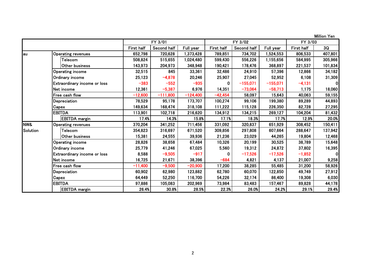|          |                                     |            |             |            |            |             |            |            | Million Yen  |
|----------|-------------------------------------|------------|-------------|------------|------------|-------------|------------|------------|--------------|
|          |                                     |            | FY 3/01     |            |            | FY 3/02     |            | FY 3/03    |              |
|          |                                     | First half | Second half | Full year  | First half | Second half | Full year  | First half | 3Q           |
| lau      | Operating revenues                  | 652,798    | 720,628     | 1,373,428  | 789,851    | 734,702     | 1,524,553  | 806,533    | 407,801      |
|          | Telecom                             | 508,824    | 515,655     | 1,024,480  | 599,430    | 556,226     | 1,155,656  | 584,995    | 305,966      |
|          | Other business                      | 143,973    | 204,973     | 348,948    | 190,421    | 178,476     | 368,897    | 221,537    | 101,834      |
|          | Operating income                    | 32,515     | 845         | 33,361     | 32.486     | 24.910      | 57,396     | 12,866     | 34,182       |
|          | Ordinary income                     | 25,123     | $-4,878$    | 20,246     | 25,907     | 27,045      | 52,952     | 6,108      | 31,309       |
|          | <b>Extraordinary income or loss</b> | $-383$     | $-552$      | $-935$     | 0          | $-155,071$  | $-155,071$ | $-4,131$   | ΟI           |
|          | Net income                          | 12,361     | $-5,387$    | 6,976      | 14,351     | $-73,064$   | $-58,713$  | 1,175      | 18,060       |
|          | Free cash flow                      | $-12,600$  | $-111,800$  | $-124,400$ | $-42,454$  | 58,097      | 15,643     | 40,063     | 59,155       |
|          | Depreciation                        | 78,529     | 95,178      | 173,707    | 100,274    | 99,106      | 199,380    | 89,289     | 44,893       |
|          | Capex                               | 149,634    | 168,474     | 318,108    | 111,222    | 115,128     | 226,350    | 82,728     | 27,295       |
|          | <b>EBITDA</b>                       | 113,901    | 102,718     | 216,620    | 134,912    | 134,215     | 269,127    | 104,204    | 81,432       |
|          | <b>EBITDA</b> margin                | 17.4%      | 14.3%       | 15.8%      | 17.1%      | 18.3%       | 17.7%      | 12.9%      | 20.0%        |
| NW&      | <b>Operating revenues</b>           | 370,204    | 341,252     | 711,456    | 331,092    | 320,837     | 651,929    | 308,452    | 150,411      |
| Solution | Telecom                             | 354,823    | 316,697     | 671,520    | 309,856    | 297,808     | 607,664    | 288,647    | 137,942      |
|          | Other business                      | 15,381     | 24,555      | 39,936     | 21,236     | 23,029      | 44,265     | 19,804     | 12,468       |
|          | Operating income                    | 28,826     | 38,658      | 67,484     | 10,326     | 20,199      | 30,525     | 38,789     | 15,648       |
|          | <b>Ordinary income</b>              | 25,779     | 41,246      | 67,025     | 5,560      | 19,312      | 24,872     | 37,802     | 16,395       |
|          | <b>Extraordinary income or loss</b> | 8,588      | $-9,505$    | $-917$     | 0          | $-17,526$   | $-17,526$  | $-1,852$   | $\mathbf{0}$ |
|          | Net income                          | 16,725     | 21,671      | 38,396     | $-684$     | 4,821       | 4,137      | 21,007     | 9,258        |
|          | Free cash flow                      | $-11,400$  | $-9,500$    | $-20,900$  | 17,200     | 38,285      | 55,485     | 31,200     | 58,926       |
|          | Depreciation                        | 60,902     | 62,980      | 123,882    | 62,780     | 60,070      | 122,850    | 49,749     | 27,912       |
|          | Capex                               | 64,449     | 52,250      | 116,700    | 54,226     | 32,174      | 86,400     | 19,308     | 6,030        |
|          | <b>EBITDA</b>                       | 97,886     | 105,083     | 202,969    | 73,984     | 83,483      | 157,467    | 89,828     | 44,178       |
|          | <b>EBITDA</b> margin                | 26.4%      | 30.8%       | 28.5%      | 22.3%      | 26.0%       | 24.2%      | 29.1%      | 29.4%        |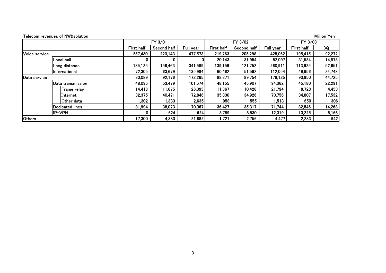|               | Telecom revenues of NW&solution |                   |             |           |                   |             |           |            | Million Yen |
|---------------|---------------------------------|-------------------|-------------|-----------|-------------------|-------------|-----------|------------|-------------|
|               |                                 |                   | FY 3/01     |           |                   | FY 3/02     |           | FY 3/03    |             |
|               |                                 | <b>First half</b> | Second half | Full year | <b>First half</b> | Second half | Full year | First half | 3Q          |
| Voice service |                                 | 257,430           | 220,143     | 477,573   | 219,763           | 205,298     | 425,062   | 195,415    | 92,272      |
|               | Local call                      | O                 |             |           | 20,143            | 31,954      | 52,097    | 31,534     | 14,873      |
|               | Long distance                   | 185,125           | 156,463     | 341,589   | 139,159           | 121,752     | 260,911   | 113,925    | 52,651      |
|               | International                   | 72,305            | 63,679      | 135,984   | 60,462            | 51,592      | 112,054   | 49,956     | 24,748      |
| Data service  |                                 | 80,089            | 92,176      | 172,265   | 88,371            | 89,754      | 178,125   | 90,950     | 44,725      |
|               | Data transmission               | 48,095            | 53,479      | 101,574   | 48,155            | 45,907      | 94,062    | 45,180     | 22,291      |
|               | IFrame relav                    | 14,418            | 11,675      | 26,093    | 11,367            | 10,426      | 21,794    | 9,723      | 4,453       |
|               | linternet                       | 32,375            | 40,471      | 72,846    | 35,830            | 34,926      | 70,756    | 34,807     | 17,532      |
|               | IOther data                     | 1,302             | 1,333       | 2,635     | 958               | 555         | 1,513     | 650        | 306         |
|               | <b>IDedicated lines</b>         | 31,994            | 38,073      | 70,067    | 36,427            | 35,317      | 71,744    | 32,546     | 14,268      |
|               | IP-VPN                          | 0                 | 624         | 624       | 3,789             | 8,530       | 12,319    | 13,225     | 8,166       |
| <b>Others</b> |                                 | 17,300            | 4,380       | 21,682    | 1,721             | 2,756       | 4,477     | 2,283      | 942         |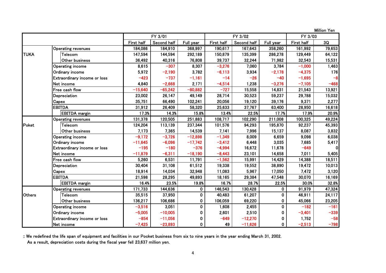FY 3/01 FY 3/02 FY 3/03 First half Second half Full year First half Second half Full year First half  $\sim$  3Q Operating revenues 184,086 184,910 368,997 190,617 167,643 358,260 161,992 79,653 TUKA Telecom 147,594 144,594 292,189 150,879 135,399 286,278 129,449 64,122 Other business | 36,492 | 40,316 | 76,808 | 39,737 | 32,244 | 71,982 | 32,543 | 15,531 Operating income 8,615 | –307 | 8,307 | –3,276 | 7,060 | 3,784 | –1,000 | 1,463 Ordinary income 5,972 | –2,190 | 3,782 | –6,113 | 3,934 | –2,178 | –4,375 | 176 | Extraordinary income or loss -423 -737 -1,161 -14 -26 -40 -1,695 -8 Net income 4,840 | -2,668 | 2,171 | -4,514 | 1,238 | -3,276 | -7,105 | -468 Free cash floww | −15,640 | −65,242 | −80,882 | −727 | 15,558 | 14,831 | 21,543 | 13,921 Depreciation 23,002 26,147 49,149 28,714 30,523 59,237 29,788 15,032 Capex 35,751 66,490 102,241 20,056 19,120 39,176 9,371 2,277 EBITDA31,912 | 26,409 | 58,320 | 25,633 | 37,767 | 63,400 | 28,950 | 16,618 EBITDA margin 17.3% 14.3% 15.8% 13.4% 22.5% 17.7% 17.9% 20.9% Operating revenues 131,378 120,505 251,883 108,717 102,290 211,008 100,325 49,224 Poket Telecom 124,204 113,139 237,344 101,576 94,293 195,870 92,237 45,393 Other business 7,173| 7,365| 14,539| 7,141| 7,996| 15,137| 8,087| 3,832 Operating income ┃ −9,172 ┃ −3,726 ┃ −12,898 ┃ −1,349 ┃ 8,009 ┃ 6,659 ┃ 9,098 ┃ 6,038 Ordinary income | −11,645 | −6,096 | −17,742 | −3,412 | 6,448 | 3,035 | 7,685 | 5,417 Extraordinary income or loss ┃ −195 ┃ −180 ┃ −376 | −4,994 ┃ 16,672 ┃ 11,678 ┃ −649 ┃ 0 Net income -11,879 -6,311 -18,190 -8,443 23,101 14,658 7,011 5,405 Free cash fiow | 5,260 | 6,531 | 11,791 | −1,562 | 15,991 | 14,429 | 14,388 | 18,511 Depreciation 30,404 31,108 61,512 19,338 19,552 38,890 19,472 10,013 Capex 18,914 | 14,034 | 32,948 | 11,083 | 5,967 | 17,050 | 7,472 | 3,120 EBITDA21,598 | 28,295 | 49,893 | 18,165 | 29,384 | 47,548 | 30,070 | 16,169 EBITDA margin 16.4% 23.5% 19.8% 16.7% 28.7% 22.5% 30.0% 32.8% Operating revenues 171,733 144,636 0 146,543 130,428 0 91,979 47,324 OthersTelecom | 35,515 | 37,950 | 0 | 40,483 | 61,207 | 0 | 46,911 | 24,117 Other business | 136,217 | 106,686 | 0 | 106,059 | 69,220 | 0 | 45,066 | 23,205 Operating income -3,516 3,051 0 1,608 2,455 0 -182 -161 Ordinary income -5,005 | 0 | 2,601 | 2,510 | 0 | –3,401 | –339 Extraordinary income or loss | –854 | –11,056 | 0 | –649 | –12,270 | 0 | 1,752 | –58 Net income-7,425 -23,893 0 49 -11,626 0 -2,513 -798

Million Yen

:: We redefined the life span of equipment and facilities in our Pocket business from six to nine years in the year ending March 31, 2002.

As a result, depreciation costs during the fiscal year fell 23,637 million yen.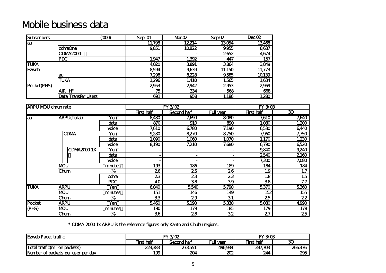# Mobile business data

| <b>Subscribers</b> |                            | ത്ര | Sep. 01 | Mar.02 | Sep.02 | Dec. 02 |
|--------------------|----------------------------|-----|---------|--------|--------|---------|
| au                 |                            |     | 11,798  | 12214  | 13054  | 13,468  |
|                    | cdmaOne                    |     | 9,851   | 10822  | 9,955  | 8637    |
|                    | CDMA2000                   |     |         |        | 2652   | 4,674   |
|                    | <b>PDC</b>                 |     | 1,947   | 1,392  | 447    | 157     |
| <b>TUKA</b>        |                            |     | 4,020   | 3891   | 3864   | 3849    |
| <b>Ezweb</b>       |                            |     | 8594    | 9,639  | 11,150 | 11,773  |
|                    | lau                        |     | 7,298   | 8228   | 9,585  | 10139   |
|                    | <b>TUKA</b>                |     | 1,296   | 1,410  | 1,565  | 1,634   |
| Pocket(PHS)        |                            |     | 2953    | 2942   | 2953   | 2969    |
|                    | AIR H"                     |     | 75      | 334    | 568    | 668     |
|                    | <b>Data Transfer Users</b> |     | 691     | 958    | 1,186  | 1,280   |

| <b>ARPU MOU chrun rate</b> |                    |            |            | FY 3/02     |           | FY 3/03    |                          |
|----------------------------|--------------------|------------|------------|-------------|-----------|------------|--------------------------|
|                            |                    |            | First half | Second half | Full year | First half | $\overline{\mathbf{30}}$ |
| lau                        | <b>ARPU(Total)</b> | Yen        | 8480       | 7,690       | 8080      | 7,610      | 7,640                    |
|                            |                    | data       | 870        | 910         | 890       | 1,080      | $\overline{1,200}$       |
|                            |                    | voice      | 7,610      | 6780        | 7,190     | 6530       | 6440                     |
|                            | <b>CDMA</b>        | Yen        | 9,280      | 8270        | 8750      | 7,960      | 7,750                    |
|                            |                    | data       | 1,090      | 1,060       | 1,070     | 1,170      | 1,230                    |
|                            |                    | voice      | 8190       | 7,210       | 7,680     | 6790       | 6520                     |
|                            | <b>CDMA20001X</b>  | Yen        |            |             |           | 9,840      | 9,240                    |
|                            |                    | data       |            |             |           | 2540       | 2160                     |
|                            |                    | voice      |            |             |           | 7,300      | 7,080                    |
|                            | <b>MOU</b>         | minutes    | 193        | 186         | 189       | 184        | 184                      |
|                            | Chum               | (%         | 26         | 25          | 26        | 1.9        | 1.7                      |
|                            |                    | colma      | 23         | 23          | 23        | 1.8        | 1.5                      |
|                            |                    | <b>PDC</b> | 40         | 38          | 39        | 38         | 7.7                      |
| <b>TUKA</b>                | <b>ARPU</b>        | Yen        | 6040       | 5540        | 5790      | 5,370      | 5,360                    |
|                            | <b>MOU</b>         | minutes    | 151        | 146         | 149       | 152        | 155                      |
|                            | Chum               | (%         | 33         | 29          | 31        | 25         | 22                       |
| Pocket                     | <b>ARPU</b>        | Yen        | 5,460      | 5,190       | 5,330     | 5080       | 4,990                    |
| (PHS)                      | <b>NOU</b>         | minutes    | 190        | 179         | 185       | 179        | 178                      |
|                            | Chum               | (%         | 36         | 28          | 32        | 27         | 25                       |

\* CDMA 2000 1x ARPU is the reference figures only Kanto and Chubu regions.

| <b>Ezweb Pacet traffic</b>             | <b>FY 3/02</b> |                          |        | <b>FY 3/03</b> |        |  |
|----------------------------------------|----------------|--------------------------|--------|----------------|--------|--|
|                                        | First half     | Full year<br>Second half |        |                | ∼<br>ື |  |
| <b>Total traffic (million packets)</b> | 223383         | 273551                   | 496934 | 397,703        | 266376 |  |
| Number of packets per user per day     | 199            | 204                      | 202    | 244            | 295    |  |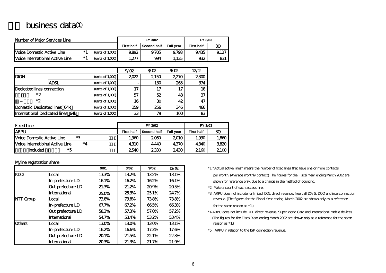### business data

| Number of Maior Services Line            |      |                     |                   | FY 3/02     |                  |                   | FY 3/03 |  |  |
|------------------------------------------|------|---------------------|-------------------|-------------|------------------|-------------------|---------|--|--|
|                                          |      |                     | <b>First half</b> | Second half | <b>Full vear</b> | <b>First half</b> | 30      |  |  |
| Voice Domestic Active Line               | *1   | (units of $1,000$ ) | 9.892             | 9.705       | 9.798            | 9,435             | 9.127   |  |  |
| <b>IVoice Internatioinal Active Line</b> | $*1$ | (units of $1,000$ ) | 1,277             | 994         | 1,135            | 932               | 831     |  |  |

|                                    |                                      |                     | 9/02 | 3/22 | 9/02 | 12/2 |
|------------------------------------|--------------------------------------|---------------------|------|------|------|------|
| <b>DION</b>                        |                                      | (units of $1,000$ ) | 2022 | 2150 | 2270 | 2300 |
|                                    | <b>ADSL</b>                          | (units of $1,000$ ) |      | 130  | 265  | 374  |
| <b>IDedicated lines connection</b> |                                      | (units of $1,000$ ) | 17   | 17   | 17   | 18   |
| *2                                 |                                      | (units of $1,000$ ) | 57   | 52   | 43   | 37   |
| *2                                 |                                      | (units of $1,000$ ) | 16   | 30   | 42   | 47   |
|                                    | <b>IDomestic Dedicated lines 64k</b> | (units of $1,000$ ) | 159  | 256  | 346  | 466  |
|                                    | International Dedicated lines 64k    | (units of $1,000$ ) | 33   | 79   | 1M   | 83   |

| <b>Fixed Line</b>                      |                   | FY 3/02     |                  | FY 3/03           |       |
|----------------------------------------|-------------------|-------------|------------------|-------------------|-------|
| <b>ARPU</b>                            | <b>First half</b> | Second half | <b>Full vear</b> | <b>First half</b> | 30    |
| *3<br>Voice Domestic Active Line       | 1,960             | 2060        | 2010             | 1,930             | 1,860 |
| *⊿<br>Voice Internatioinal Active Line | 4310              | 4.440       | 4370             | 4340              | 3820  |
| *5<br>included                         | 2540              | 2330        | 2430             | 2160              | 2100  |

#### Myline registration share

|                  |                   | 9/01  | 3/02  | '9/02 | 12/22 |
|------------------|-------------------|-------|-------|-------|-------|
| <b>KDDI</b>      | Local             | 133%  | 132%  | 132%  | 131%  |
|                  | In-prefecture LD  | 161%  | 162%  | 162%  | 161%  |
|                  | Out prefecture LD | 21.3% | 21.2% | 20%   | 205%  |
|                  | International     | 250%  | 25.3% | 25.1% | 24.7% |
| <b>NTT Group</b> | Local             | 738%  | 738%  | 738%  | 738%  |
|                  | In-prefecture LD  | 67.7% | 67.2% | 665%  | 663%  |
|                  | Out prefecture LD | 583%  | 57.3% | 57.0% | 57.2% |
|                  | International     | 54.7% | 534%  | 532%  | 534%  |
| <b>Others</b>    | Local             | 130%  | 130%  | 130%  | 131%  |
|                  | In-prefecture LD  | 162%  | 166%  | 17.3% | 17.6% |
|                  | Out prefecture LD | 201%  | 21.5% | 221%  | 223%  |
|                  | International     | 203%  | 21.3% | 21.7% | 21.9% |

\*1 "Actual active lines" means the number of fixed lines that have one or more contacts

per month. (Average monthly contact) The figures for the Fiscal Year ending March 2002 are shown for reference only, due to a change in the method of counting.

- $*2$  Make a count of each access line.
- 25.3% 25.1% 24.7% \*3 ARPU does not include, unlimited, DDL direct revenue, free call DX/S, DOD and interconnection revenue. (The figures for the Fiscal Year ending Narch 2002 are shown only as a reference

for the same reason as  $*1$ .)

- \*4 ARPU does not include DDL direct revenue, Super World Card and international mobile devices. (The figures for the Fiscal Year ending March 2002 are shown only as a reference for the same  $reason as *1.)$
- \*5 ARPU in relation to the ISP connection revenue.